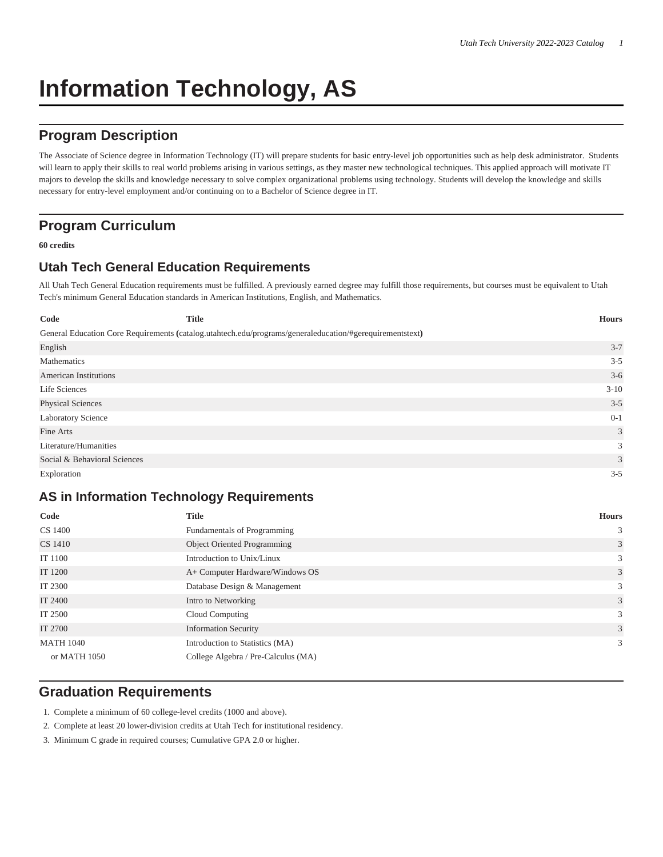# **Information Technology, AS**

# **Program Description**

The Associate of Science degree in Information Technology (IT) will prepare students for basic entry-level job opportunities such as help desk administrator. Students will learn to apply their skills to real world problems arising in various settings, as they master new technological techniques. This applied approach will motivate IT majors to develop the skills and knowledge necessary to solve complex organizational problems using technology. Students will develop the knowledge and skills necessary for entry-level employment and/or continuing on to a Bachelor of Science degree in IT.

## **Program Curriculum**

#### **60 credits**

## **Utah Tech General Education Requirements**

All Utah Tech General Education requirements must be fulfilled. A previously earned degree may fulfill those requirements, but courses must be equivalent to Utah Tech's minimum General Education standards in American Institutions, English, and Mathematics.

| Code                         | <b>Title</b>                                                                                             | <b>Hours</b> |
|------------------------------|----------------------------------------------------------------------------------------------------------|--------------|
|                              | General Education Core Requirements (catalog.utahtech.edu/programs/generaleducation/#gerequirementstext) |              |
| English                      |                                                                                                          | $3 - 7$      |
| Mathematics                  |                                                                                                          | $3 - 5$      |
| <b>American Institutions</b> |                                                                                                          | $3 - 6$      |
| Life Sciences                |                                                                                                          | $3-10$       |
| Physical Sciences            |                                                                                                          | $3 - 5$      |
| Laboratory Science           |                                                                                                          | $0 - 1$      |
| Fine Arts                    |                                                                                                          | 3            |
| Literature/Humanities        |                                                                                                          | 3            |
| Social & Behavioral Sciences |                                                                                                          | 3            |
| Exploration                  |                                                                                                          | $3 - 5$      |

### **AS in Information Technology Requirements**

| Code             | <b>Title</b>                        | <b>Hours</b>   |
|------------------|-------------------------------------|----------------|
| CS 1400          | Fundamentals of Programming         | $\mathbf{3}$   |
| CS 1410          | <b>Object Oriented Programming</b>  | $\overline{3}$ |
| IT 1100          | Introduction to Unix/Linux          | $\mathbf{3}$   |
| IT 1200          | A+ Computer Hardware/Windows OS     | $\overline{3}$ |
| IT 2300          | Database Design & Management        | $\mathfrak{Z}$ |
| IT 2400          | Intro to Networking                 | 3              |
| IT 2500          | Cloud Computing                     | $\mathfrak{Z}$ |
| IT 2700          | <b>Information Security</b>         | $\mathbf{3}$   |
| <b>MATH 1040</b> | Introduction to Statistics (MA)     | $\mathbf{3}$   |
| or MATH 1050     | College Algebra / Pre-Calculus (MA) |                |

## **Graduation Requirements**

- 1. Complete a minimum of 60 college-level credits (1000 and above).
- 2. Complete at least 20 lower-division credits at Utah Tech for institutional residency.
- 3. Minimum C grade in required courses; Cumulative GPA 2.0 or higher.